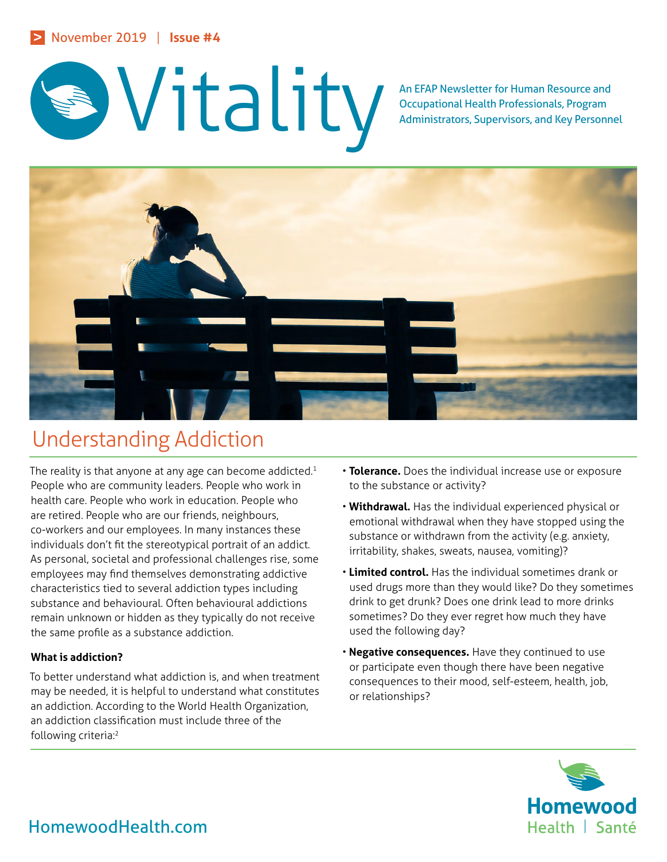

Occupational Health Professionals, Program Administrators, Supervisors, and Key Personnel



# Understanding Addiction

The reality is that anyone at any age can become addicted.<sup>1</sup> People who are community leaders. People who work in health care. People who work in education. People who are retired. People who are our friends, neighbours, co-workers and our employees. In many instances these individuals don't fit the stereotypical portrait of an addict. As personal, societal and professional challenges rise, some employees may find themselves demonstrating addictive characteristics tied to several addiction types including substance and behavioural. Often behavioural addictions remain unknown or hidden as they typically do not receive the same profile as a substance addiction.

# **What is addiction?**

To better understand what addiction is, and when treatment may be needed, it is helpful to understand what constitutes an addiction. According to the World Health Organization, an addiction classification must include three of the following criteria:2

- **Tolerance.** Does the individual increase use or exposure to the substance or activity?
- **Withdrawal.** Has the individual experienced physical or emotional withdrawal when they have stopped using the substance or withdrawn from the activity (e.g. anxiety, irritability, shakes, sweats, nausea, vomiting)?
- **Limited control.** Has the individual sometimes drank or used drugs more than they would like? Do they sometimes drink to get drunk? Does one drink lead to more drinks sometimes? Do they ever regret how much they have used the following day?
- **Negative consequences.** Have they continued to use or participate even though there have been negative consequences to their mood, self-esteem, health, job, or relationships?

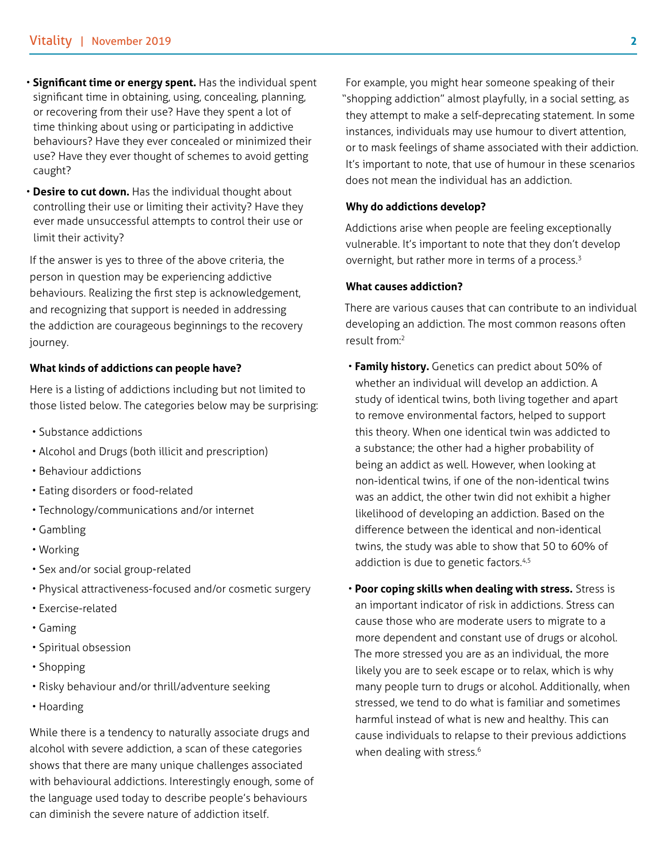- **Significant time or energy spent.** Has the individual spent significant time in obtaining, using, concealing, planning, or recovering from their use? Have they spent a lot of time thinking about using or participating in addictive behaviours? Have they ever concealed or minimized their use? Have they ever thought of schemes to avoid getting caught?
- **Desire to cut down.** Has the individual thought about controlling their use or limiting their activity? Have they ever made unsuccessful attempts to control their use or limit their activity?

If the answer is yes to three of the above criteria, the person in question may be experiencing addictive behaviours. Realizing the first step is acknowledgement, and recognizing that support is needed in addressing the addiction are courageous beginnings to the recovery journey.

#### **What kinds of addictions can people have?**

Here is a listing of addictions including but not limited to those listed below. The categories below may be surprising:

- Substance addictions
- Alcohol and Drugs (both illicit and prescription)
- Behaviour addictions
- Eating disorders or food-related
- Technology/communications and/or internet
- Gambling
- Working
- Sex and/or social group-related
- Physical attractiveness-focused and/or cosmetic surgery
- Exercise-related
- Gaming
- Spiritual obsession
- Shopping
- Risky behaviour and/or thrill/adventure seeking
- Hoarding

While there is a tendency to naturally associate drugs and alcohol with severe addiction, a scan of these categories shows that there are many unique challenges associated with behavioural addictions. Interestingly enough, some of the language used today to describe people's behaviours can diminish the severe nature of addiction itself.

For example, you might hear someone speaking of their "shopping addiction" almost playfully, in a social setting, as they attempt to make a self-deprecating statement. In some instances, individuals may use humour to divert attention, or to mask feelings of shame associated with their addiction. It's important to note, that use of humour in these scenarios does not mean the individual has an addiction.

#### **Why do addictions develop?**

Addictions arise when people are feeling exceptionally vulnerable. It's important to note that they don't develop overnight, but rather more in terms of a process.<sup>3</sup>

### **What causes addiction?**

There are various causes that can contribute to an individual developing an addiction. The most common reasons often result from:<sup>2</sup>

- **Family history.** Genetics can predict about 50% of whether an individual will develop an addiction. A study of identical twins, both living together and apart to remove environmental factors, helped to support this theory. When one identical twin was addicted to a substance; the other had a higher probability of being an addict as well. However, when looking at non-identical twins, if one of the non-identical twins was an addict, the other twin did not exhibit a higher likelihood of developing an addiction. Based on the difference between the identical and non-identical twins, the study was able to show that 50 to 60% of addiction is due to genetic factors.<sup>4,5</sup>
- **Poor coping skills when dealing with stress.** Stress is an important indicator of risk in addictions. Stress can cause those who are moderate users to migrate to a more dependent and constant use of drugs or alcohol. The more stressed you are as an individual, the more likely you are to seek escape or to relax, which is why many people turn to drugs or alcohol. Additionally, when stressed, we tend to do what is familiar and sometimes harmful instead of what is new and healthy. This can cause individuals to relapse to their previous addictions when dealing with stress.<sup>6</sup>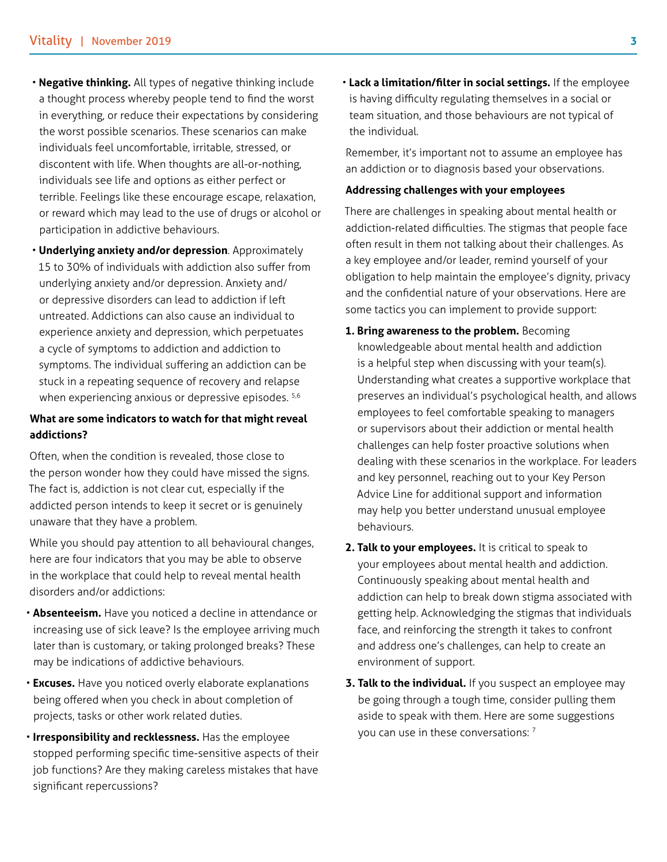- **Negative thinking.** All types of negative thinking include a thought process whereby people tend to find the worst in everything, or reduce their expectations by considering the worst possible scenarios. These scenarios can make individuals feel uncomfortable, irritable, stressed, or discontent with life. When thoughts are all-or-nothing, individuals see life and options as either perfect or terrible. Feelings like these encourage escape, relaxation, or reward which may lead to the use of drugs or alcohol or participation in addictive behaviours.
- **Underlying anxiety and/or depression**. Approximately 15 to 30% of individuals with addiction also suffer from underlying anxiety and/or depression. Anxiety and/ or depressive disorders can lead to addiction if left untreated. Addictions can also cause an individual to experience anxiety and depression, which perpetuates a cycle of symptoms to addiction and addiction to symptoms. The individual suffering an addiction can be stuck in a repeating sequence of recovery and relapse when experiencing anxious or depressive episodes. <sup>5,6</sup>

# **What are some indicators to watch for that might reveal addictions?**

Often, when the condition is revealed, those close to the person wonder how they could have missed the signs. The fact is, addiction is not clear cut, especially if the addicted person intends to keep it secret or is genuinely unaware that they have a problem.

While you should pay attention to all behavioural changes, here are four indicators that you may be able to observe in the workplace that could help to reveal mental health disorders and/or addictions:

- **Absenteeism.** Have you noticed a decline in attendance or increasing use of sick leave? Is the employee arriving much later than is customary, or taking prolonged breaks? These may be indications of addictive behaviours.
- **Excuses.** Have you noticed overly elaborate explanations being offered when you check in about completion of projects, tasks or other work related duties.
- **Irresponsibility and recklessness.** Has the employee stopped performing specific time-sensitive aspects of their job functions? Are they making careless mistakes that have significant repercussions?

• **Lack a limitation/filter in social settings.** If the employee is having difficulty regulating themselves in a social or team situation, and those behaviours are not typical of the individual.

Remember, it's important not to assume an employee has an addiction or to diagnosis based your observations.

#### **Addressing challenges with your employees**

There are challenges in speaking about mental health or addiction-related difficulties. The stigmas that people face often result in them not talking about their challenges. As a key employee and/or leader, remind yourself of your obligation to help maintain the employee's dignity, privacy and the confidential nature of your observations. Here are some tactics you can implement to provide support:

- **1. Bring awareness to the problem.** Becoming knowledgeable about mental health and addiction is a helpful step when discussing with your team(s). Understanding what creates a supportive workplace that preserves an individual's psychological health, and allows employees to feel comfortable speaking to managers or supervisors about their addiction or mental health challenges can help foster proactive solutions when dealing with these scenarios in the workplace. For leaders and key personnel, reaching out to your Key Person Advice Line for additional support and information may help you better understand unusual employee behaviours.
- **2. Talk to your employees.** It is critical to speak to your employees about mental health and addiction. Continuously speaking about mental health and addiction can help to break down stigma associated with getting help. Acknowledging the stigmas that individuals face, and reinforcing the strength it takes to confront and address one's challenges, can help to create an environment of support.
- **3. Talk to the individual.** If you suspect an employee may be going through a tough time, consider pulling them aside to speak with them. Here are some suggestions you can use in these conversations: 7